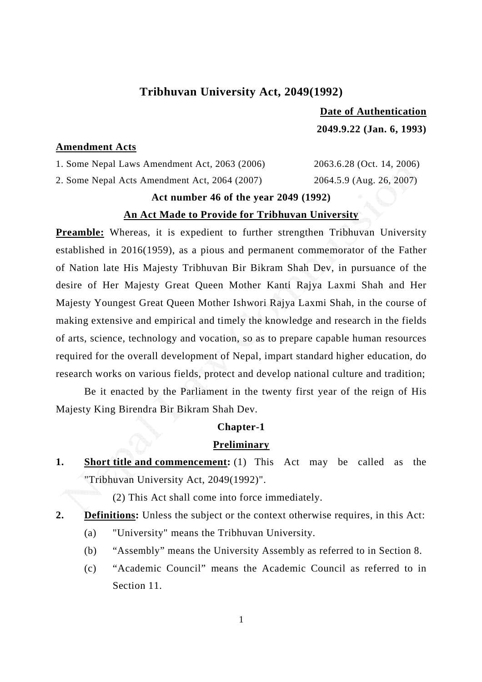## **Tribhuvan University Act, 2049(1992)**

 **Date of Authentication 2049.9.22 (Jan. 6, 1993)** 

### **Amendment Acts**

1. Some Nepal Laws Amendment Act, 2063 (2006) 2063.6.28 (Oct. 14, 2006) 2. Some Nepal Acts Amendment Act, 2064 (2007) 2064.5.9 (Aug. 26, 2007)

### **Act number 46 of the year 2049 (1992)**

### **An Act Made to Provide for Tribhuvan University**

**Preamble:** Whereas, it is expedient to further strengthen Tribhuvan University established in 2016(1959), as a pious and permanent commemorator of the Father of Nation late His Majesty Tribhuvan Bir Bikram Shah Dev, in pursuance of the desire of Her Majesty Great Queen Mother Kanti Rajya Laxmi Shah and Her Majesty Youngest Great Queen Mother Ishwori Rajya Laxmi Shah, in the course of making extensive and empirical and timely the knowledge and research in the fields of arts, science, technology and vocation, so as to prepare capable human resources required for the overall development of Nepal, impart standard higher education, do research works on various fields, protect and develop national culture and tradition;

 Be it enacted by the Parliament in the twenty first year of the reign of His Majesty King Birendra Bir Bikram Shah Dev.

#### **Chapter-1**

#### **Preliminary**

**1.** Short title and commencement: (1) This Act may be called as the "Tribhuvan University Act, 2049(1992)".

(2) This Act shall come into force immediately.

- **2. Definitions:** Unless the subject or the context otherwise requires, in this Act:
	- (a) "University" means the Tribhuvan University.
	- (b) "Assembly" means the University Assembly as referred to in Section 8.
	- (c) "Academic Council" means the Academic Council as referred to in Section 11.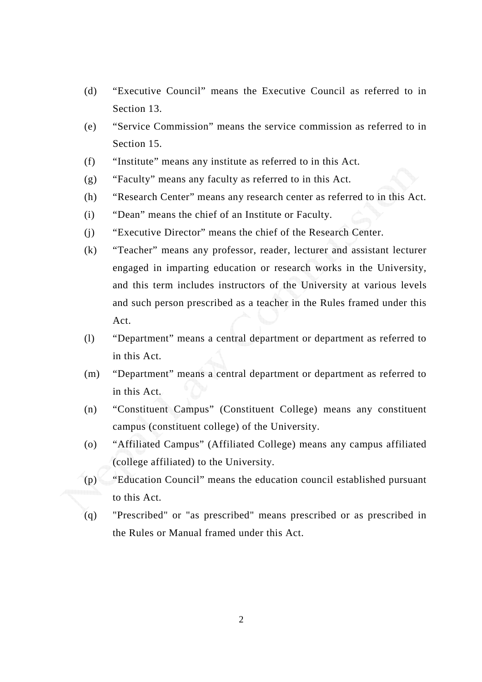- (d) "Executive Council" means the Executive Council as referred to in Section 13.
- (e) "Service Commission" means the service commission as referred to in Section 15.
- (f) "Institute" means any institute as referred to in this Act.
- (g) "Faculty" means any faculty as referred to in this Act.
- (h) "Research Center" means any research center as referred to in this Act.
- (i) "Dean" means the chief of an Institute or Faculty.
- (j) "Executive Director" means the chief of the Research Center.
- (k) "Teacher" means any professor, reader, lecturer and assistant lecturer engaged in imparting education or research works in the University, and this term includes instructors of the University at various levels and such person prescribed as a teacher in the Rules framed under this Act.
- (l) "Department" means a central department or department as referred to in this Act.
- (m) "Department" means a central department or department as referred to in this Act.
- (n) "Constituent Campus" (Constituent College) means any constituent campus (constituent college) of the University.
- (o) "Affiliated Campus" (Affiliated College) means any campus affiliated (college affiliated) to the University.
- (p) "Education Council" means the education council established pursuant to this Act.
- (q) "Prescribed" or "as prescribed" means prescribed or as prescribed in the Rules or Manual framed under this Act.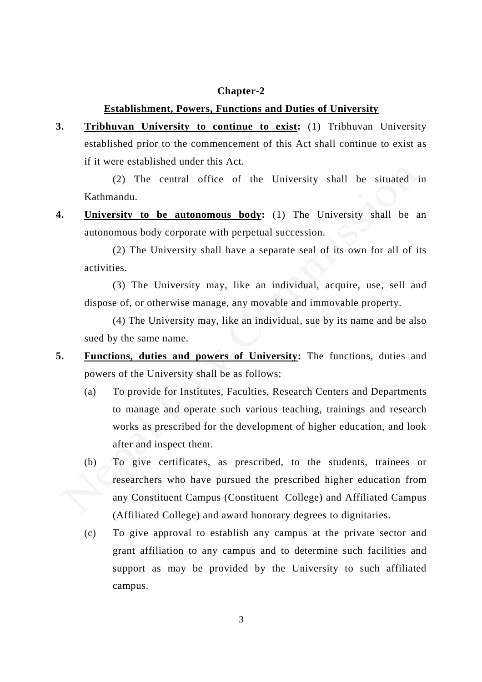### **Chapter-2**

### **Establishment, Powers, Functions and Duties of University**

**3. Tribhuvan University to continue to exist:** (1) Tribhuvan University established prior to the commencement of this Act shall continue to exist as if it were established under this Act.

(2) The central office of the University shall be situated in Kathmandu.

**4. University to be autonomous body:** (1) The University shall be an autonomous body corporate with perpetual succession.

(2) The University shall have a separate seal of its own for all of its activities.

(3) The University may, like an individual, acquire, use, sell and dispose of, or otherwise manage, any movable and immovable property.

(4) The University may, like an individual, sue by its name and be also sued by the same name.

- **5. Functions, duties and powers of University:** The functions, duties and powers of the University shall be as follows:
	- (a) To provide for Institutes, Faculties, Research Centers and Departments to manage and operate such various teaching, trainings and research works as prescribed for the development of higher education, and look after and inspect them.
	- (b) To give certificates, as prescribed, to the students, trainees or researchers who have pursued the prescribed higher education from any Constituent Campus (Constituent College) and Affiliated Campus (Affiliated College) and award honorary degrees to dignitaries.
	- (c) To give approval to establish any campus at the private sector and grant affiliation to any campus and to determine such facilities and support as may be provided by the University to such affiliated campus.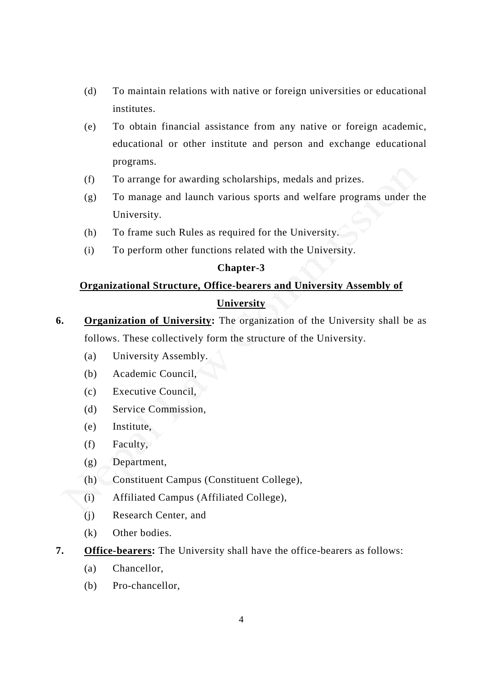- (d) To maintain relations with native or foreign universities or educational institutes.
- (e) To obtain financial assistance from any native or foreign academic, educational or other institute and person and exchange educational programs.
- (f) To arrange for awarding scholarships, medals and prizes.
- (g) To manage and launch various sports and welfare programs under the University.
- (h) To frame such Rules as required for the University.
- (i) To perform other functions related with the University.

### **Chapter-3**

# **Organizational Structure, Office-bearers and University Assembly of University**

- **6. Organization of University:** The organization of the University shall be as follows. These collectively form the structure of the University.
	- (a) University Assembly.
	- (b) Academic Council,
	- (c) Executive Council,
	- (d) Service Commission,
	- (e) Institute,
	- (f) Faculty,
	- (g) Department,
	- (h) Constituent Campus (Constituent College),
	- (i) Affiliated Campus (Affiliated College),
	- (j) Research Center, and
	- (k) Other bodies.
- **7. Office-bearers:** The University shall have the office-bearers as follows:
	- (a) Chancellor,
	- (b) Pro-chancellor,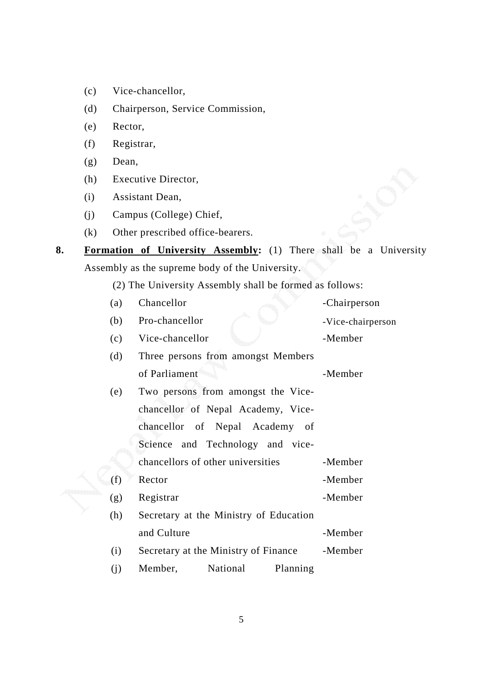- (c) Vice-chancellor,
- (d) Chairperson, Service Commission,
- (e) Rector,
- (f) Registrar,
- (g) Dean,
- (h) Executive Director,
- (i) Assistant Dean,
- (j) Campus (College) Chief,
- (k) Other prescribed office-bearers.
- **8. Formation of University Assembly:** (1) There shall be a University Assembly as the supreme body of the University.

(2) The University Assembly shall be formed as follows:

- (a) Chancellor -Chairperson
- (b) Pro-chancellor -Vice-chairperson
- (c) Vice-chancellor -Member
- (d) Three persons from amongst Members of Parliament -Member
- (e) Two persons from amongst the Vicechancellor of Nepal Academy, Vicechancellor of Nepal Academy of Science and Technology and vicechancellors of other universities -Member (f) Rector -Member
- (g) Registrar -Member
- (h) Secretary at the Ministry of Education and Culture -Member (i) Secretary at the Ministry of Finance -Member
- (j) Member, National Planning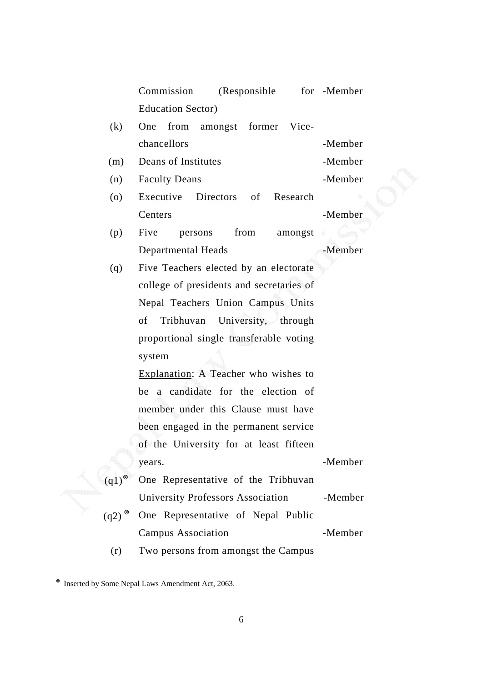|                                        | (Responsible)<br>Commission              | for -Member |  |  |  |  |  |  |
|----------------------------------------|------------------------------------------|-------------|--|--|--|--|--|--|
|                                        | <b>Education Sector</b> )                |             |  |  |  |  |  |  |
| (k)                                    | from<br>amongst former Vice-<br>One      |             |  |  |  |  |  |  |
|                                        | chancellors                              | -Member     |  |  |  |  |  |  |
| (m)                                    | Deans of Institutes                      | -Member     |  |  |  |  |  |  |
| (n)                                    | <b>Faculty Deans</b>                     | -Member     |  |  |  |  |  |  |
| (0)                                    | Executive<br>Directors<br>of<br>Research |             |  |  |  |  |  |  |
|                                        | Centers                                  | -Member     |  |  |  |  |  |  |
| (p)                                    | from<br>Five<br>persons<br>amongst       |             |  |  |  |  |  |  |
|                                        | Departmental Heads                       | -Member     |  |  |  |  |  |  |
| (q)                                    | Five Teachers elected by an electorate   |             |  |  |  |  |  |  |
|                                        | college of presidents and secretaries of |             |  |  |  |  |  |  |
|                                        | Nepal Teachers Union Campus Units        |             |  |  |  |  |  |  |
|                                        | University, through<br>Tribhuvan<br>of   |             |  |  |  |  |  |  |
|                                        | proportional single transferable voting  |             |  |  |  |  |  |  |
|                                        | system                                   |             |  |  |  |  |  |  |
|                                        | Explanation: A Teacher who wishes to     |             |  |  |  |  |  |  |
|                                        | be a candidate for the election of       |             |  |  |  |  |  |  |
|                                        | member under this Clause must have       |             |  |  |  |  |  |  |
|                                        | been engaged in the permanent service    |             |  |  |  |  |  |  |
|                                        | of the University for at least fifteen   |             |  |  |  |  |  |  |
|                                        | years.                                   | -Member     |  |  |  |  |  |  |
| $(q1)$ <sup><math>\otimes</math></sup> | One Representative of the Tribhuvan      |             |  |  |  |  |  |  |
|                                        | University Professors Association        | -Member     |  |  |  |  |  |  |
| $(q2)$ <sup><math>\otimes</math></sup> | One Representative of Nepal Public       |             |  |  |  |  |  |  |
|                                        | <b>Campus Association</b>                | -Member     |  |  |  |  |  |  |
| (r)                                    | Two persons from amongst the Campus      |             |  |  |  |  |  |  |

 ⊗ Inserted by Some Nepal Laws Amendment Act, 2063.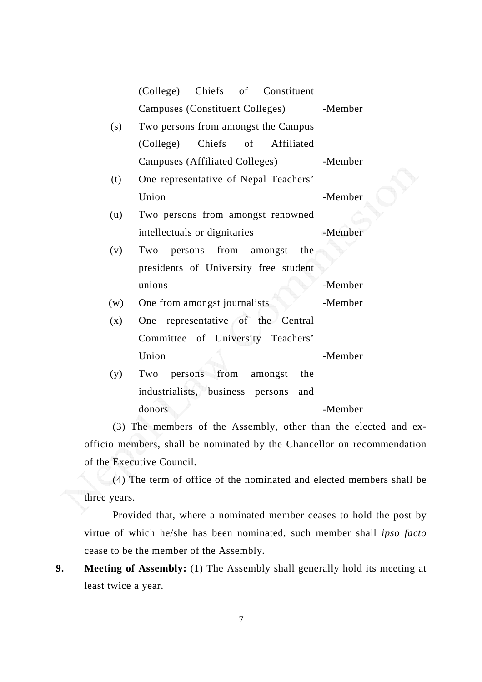|     | (College) Chiefs of Constituent         |         |
|-----|-----------------------------------------|---------|
|     | Campuses (Constituent Colleges) -Member |         |
| (s) | Two persons from amongst the Campus     |         |
|     | (College) Chiefs of Affiliated          |         |
|     | Campuses (Affiliated Colleges)          | -Member |
| (t) | One representative of Nepal Teachers'   |         |
|     | Union                                   | -Member |
| (u) | Two persons from amongst renowned       |         |
|     | intellectuals or dignitaries            | -Member |
| (v) | persons from amongst the<br>Two         |         |
|     | presidents of University free student   |         |
|     | unions                                  | -Member |
| (w) | One from amongst journalists            | -Member |
| (x) | One representative of the Central       |         |
|     | Committee of University Teachers'       |         |
|     | Union                                   | -Member |
| (y) | persons from amongst<br>the<br>Two      |         |
|     | industrialists, business persons<br>and |         |
|     | donors                                  | -Member |

(3) The members of the Assembly, other than the elected and exofficio members, shall be nominated by the Chancellor on recommendation of the Executive Council.

(4) The term of office of the nominated and elected members shall be three years.

Provided that, where a nominated member ceases to hold the post by virtue of which he/she has been nominated, such member shall *ipso facto* cease to be the member of the Assembly.

**9.** Meeting of Assembly: (1) The Assembly shall generally hold its meeting at least twice a year.

7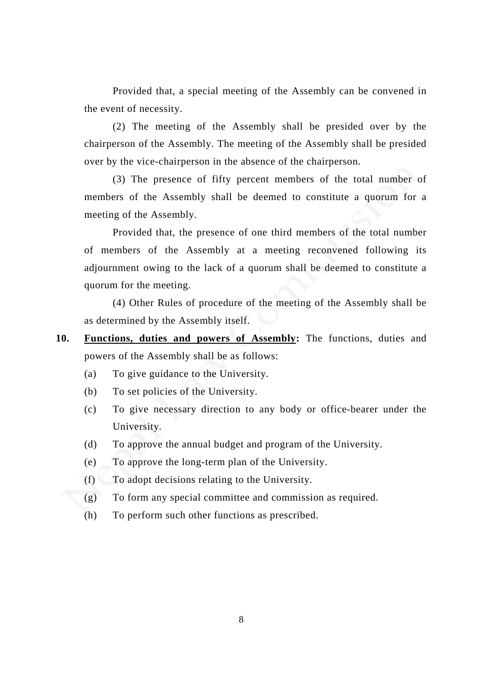Provided that, a special meeting of the Assembly can be convened in the event of necessity.

(2) The meeting of the Assembly shall be presided over by the chairperson of the Assembly. The meeting of the Assembly shall be presided over by the vice-chairperson in the absence of the chairperson.

(3) The presence of fifty percent members of the total number of members of the Assembly shall be deemed to constitute a quorum for a meeting of the Assembly.

Provided that, the presence of one third members of the total number of members of the Assembly at a meeting reconvened following its adjournment owing to the lack of a quorum shall be deemed to constitute a quorum for the meeting.

(4) Other Rules of procedure of the meeting of the Assembly shall be as determined by the Assembly itself.

- **10. Functions, duties and powers of Assembly:** The functions, duties and powers of the Assembly shall be as follows:
	- (a) To give guidance to the University.
	- (b) To set policies of the University.
	- (c) To give necessary direction to any body or office-bearer under the University.
	- (d) To approve the annual budget and program of the University.
	- (e) To approve the long-term plan of the University.
	- (f) To adopt decisions relating to the University.
	- (g) To form any special committee and commission as required.
	- (h) To perform such other functions as prescribed.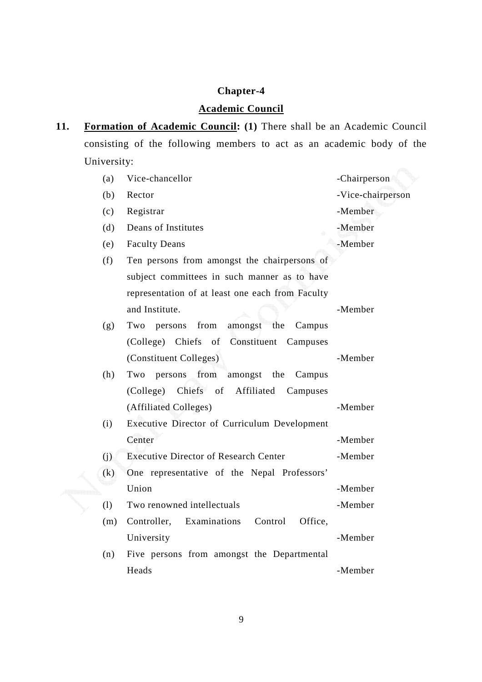# **Chapter-4**

# **Academic Council**

11. Formation of Academic Council: (1) There shall be an Academic Council consisting of the following members to act as an academic body of the University:

| (a) | Vice-chancellor                                    | -Chairperson      |
|-----|----------------------------------------------------|-------------------|
| (b) | Rector                                             | -Vice-chairperson |
| (c) | Registrar                                          | -Member           |
| (d) | Deans of Institutes                                | -Member           |
| (e) | <b>Faculty Deans</b>                               | -Member           |
| (f) | Ten persons from amongst the chairpersons of       |                   |
|     | subject committees in such manner as to have       |                   |
|     | representation of at least one each from Faculty   |                   |
|     | and Institute.                                     | -Member           |
| (g) | amongst<br>from<br>the<br>Two<br>Campus<br>persons |                   |
|     | (College) Chiefs of Constituent Campuses           |                   |
|     | (Constituent Colleges)                             | -Member           |
| (h) | from amongst the<br>Two<br>persons<br>Campus       |                   |
|     | (College) Chiefs of Affiliated<br>Campuses         |                   |
|     | (Affiliated Colleges)                              | -Member           |
| (i) | Executive Director of Curriculum Development       |                   |
|     | Center                                             | -Member           |
| (i) | <b>Executive Director of Research Center</b>       | -Member           |
| (k) | One representative of the Nepal Professors'        |                   |
|     | Union                                              | -Member           |
| (1) | Two renowned intellectuals                         | -Member           |
| (m) | Examinations<br>Control<br>Office,<br>Controller,  |                   |
|     | University                                         | -Member           |
| (n) | Five persons from amongst the Departmental         |                   |
|     | Heads                                              | -Member           |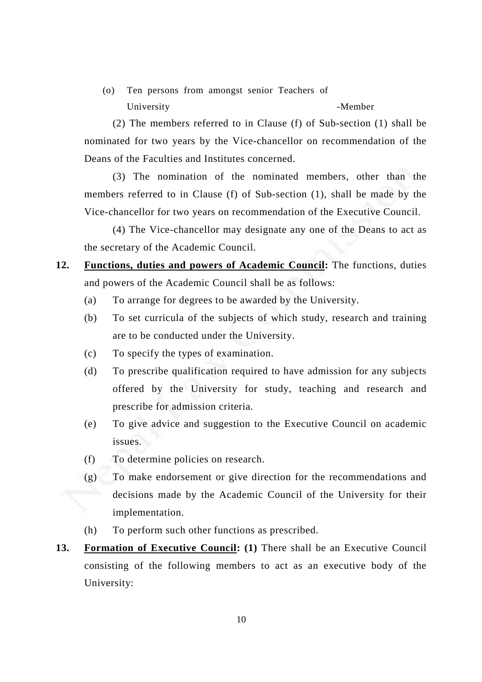(o) Ten persons from amongst senior Teachers of University -Member

(2) The members referred to in Clause (f) of Sub-section (1) shall be nominated for two years by the Vice-chancellor on recommendation of the Deans of the Faculties and Institutes concerned.

(3) The nomination of the nominated members, other than the members referred to in Clause (f) of Sub-section (1), shall be made by the Vice-chancellor for two years on recommendation of the Executive Council.

(4) The Vice-chancellor may designate any one of the Deans to act as the secretary of the Academic Council.

- **12. Functions, duties and powers of Academic Council:** The functions, duties and powers of the Academic Council shall be as follows:
	- (a) To arrange for degrees to be awarded by the University.
	- (b) To set curricula of the subjects of which study, research and training are to be conducted under the University.
	- (c) To specify the types of examination.
	- (d) To prescribe qualification required to have admission for any subjects offered by the University for study, teaching and research and prescribe for admission criteria.
	- (e) To give advice and suggestion to the Executive Council on academic issues.
	- (f) To determine policies on research.
	- (g) To make endorsement or give direction for the recommendations and decisions made by the Academic Council of the University for their implementation.
	- (h) To perform such other functions as prescribed.
- **13. Formation of Executive Council: (1)** There shall be an Executive Council consisting of the following members to act as an executive body of the University: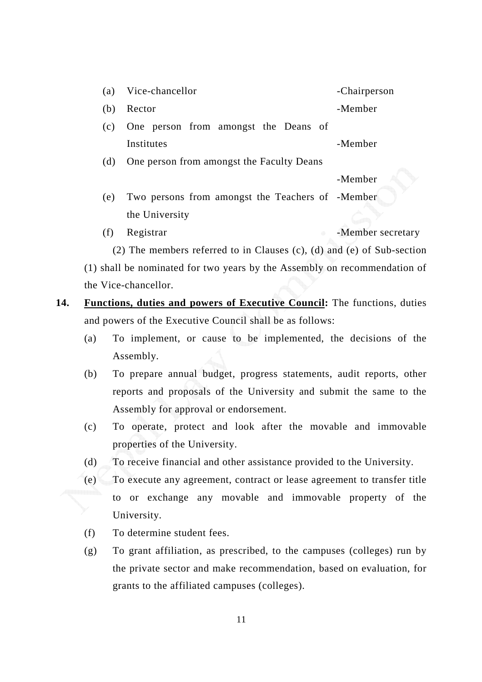| (a) Vice-chancellor |  |  |                                          |  |  |  | -Chairperson |
|---------------------|--|--|------------------------------------------|--|--|--|--------------|
| (b) Rector          |  |  |                                          |  |  |  | -Member      |
|                     |  |  | (c) One person from amongst the Deans of |  |  |  |              |

Institutes - Member

(d) One person from amongst the Faculty Deans

-Member

- (e) Two persons from amongst the Teachers of -Member the University
- (f) Registrar -Member secretary

(2) The members referred to in Clauses (c), (d) and (e) of Sub-section

(1) shall be nominated for two years by the Assembly on recommendation of the Vice-chancellor.

- **14. Functions, duties and powers of Executive Council:** The functions, duties and powers of the Executive Council shall be as follows:
	- (a) To implement, or cause to be implemented, the decisions of the Assembly.
	- (b) To prepare annual budget, progress statements, audit reports, other reports and proposals of the University and submit the same to the Assembly for approval or endorsement.
	- (c) To operate, protect and look after the movable and immovable properties of the University.
	- (d) To receive financial and other assistance provided to the University.
	- (e) To execute any agreement, contract or lease agreement to transfer title to or exchange any movable and immovable property of the University.
	- (f) To determine student fees.
	- (g) To grant affiliation, as prescribed, to the campuses (colleges) run by the private sector and make recommendation, based on evaluation, for grants to the affiliated campuses (colleges).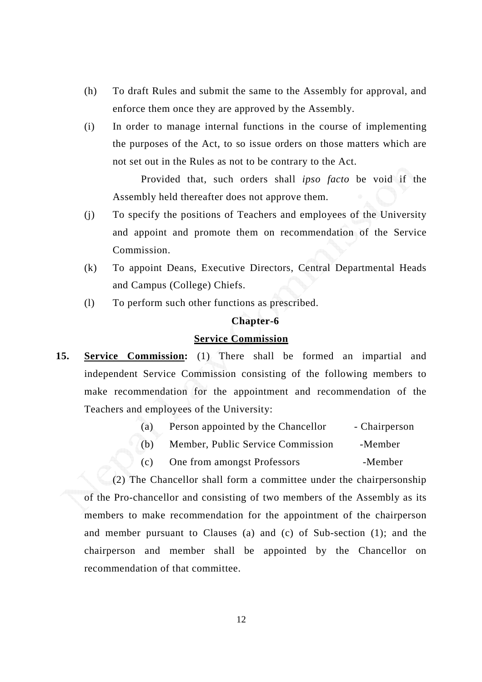- (h) To draft Rules and submit the same to the Assembly for approval, and enforce them once they are approved by the Assembly.
- (i) In order to manage internal functions in the course of implementing the purposes of the Act, to so issue orders on those matters which are not set out in the Rules as not to be contrary to the Act.

 Provided that, such orders shall *ipso facto* be void if the Assembly held thereafter does not approve them.

- (j) To specify the positions of Teachers and employees of the University and appoint and promote them on recommendation of the Service Commission.
- (k) To appoint Deans, Executive Directors, Central Departmental Heads and Campus (College) Chiefs.
- (l) To perform such other functions as prescribed.

### **Chapter-6**

### **Service Commission**

- **15. Service Commission:** (1) There shall be formed an impartial and independent Service Commission consisting of the following members to make recommendation for the appointment and recommendation of the Teachers and employees of the University:
	- (a) Person appointed by the Chancellor Chairperson
	- (b) Member, Public Service Commission -Member
	- (c) One from amongst Professors -Member

(2) The Chancellor shall form a committee under the chairpersonship of the Pro-chancellor and consisting of two members of the Assembly as its members to make recommendation for the appointment of the chairperson and member pursuant to Clauses (a) and (c) of Sub-section (1); and the chairperson and member shall be appointed by the Chancellor on recommendation of that committee.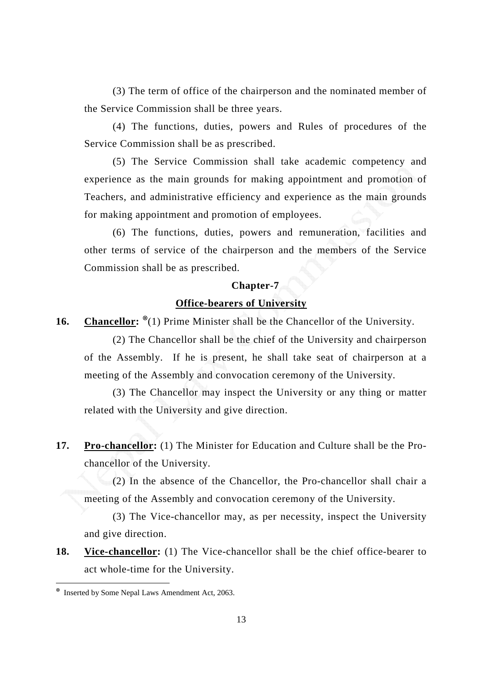(3) The term of office of the chairperson and the nominated member of the Service Commission shall be three years.

(4) The functions, duties, powers and Rules of procedures of the Service Commission shall be as prescribed.

(5) The Service Commission shall take academic competency and experience as the main grounds for making appointment and promotion of Teachers, and administrative efficiency and experience as the main grounds for making appointment and promotion of employees.

(6) The functions, duties, powers and remuneration, facilities and other terms of service of the chairperson and the members of the Service Commission shall be as prescribed.

# **Chapter-7 Office-bearers of University**

**16.** Chancellor: <sup>⊗</sup>(1) Prime Minister shall be the Chancellor of the University.

(2) The Chancellor shall be the chief of the University and chairperson of the Assembly. If he is present, he shall take seat of chairperson at a meeting of the Assembly and convocation ceremony of the University.

(3) The Chancellor may inspect the University or any thing or matter related with the University and give direction.

**17. Pro-chancellor:** (1) The Minister for Education and Culture shall be the Prochancellor of the University.

(2) In the absence of the Chancellor, the Pro-chancellor shall chair a meeting of the Assembly and convocation ceremony of the University.

(3) The Vice-chancellor may, as per necessity, inspect the University and give direction.

**18. Vice-chancellor:** (1) The Vice-chancellor shall be the chief office-bearer to act whole-time for the University.

<sup>⊗</sup> Inserted by Some Nepal Laws Amendment Act, 2063.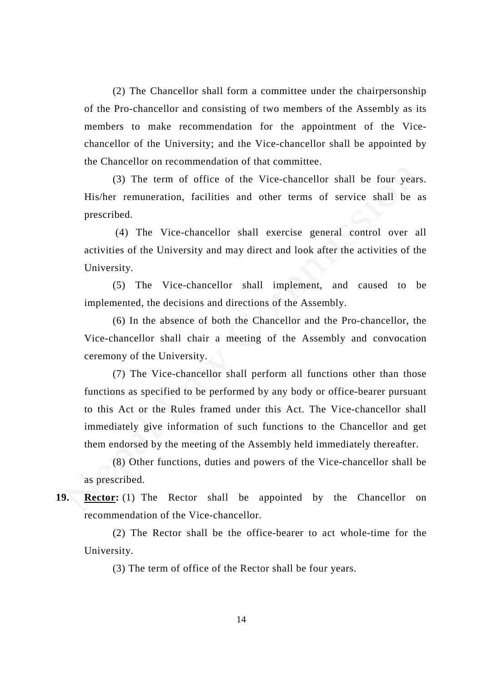(2) The Chancellor shall form a committee under the chairpersonship of the Pro-chancellor and consisting of two members of the Assembly as its members to make recommendation for the appointment of the Vicechancellor of the University; and the Vice-chancellor shall be appointed by the Chancellor on recommendation of that committee.

(3) The term of office of the Vice-chancellor shall be four years. His/her remuneration, facilities and other terms of service shall be as prescribed.

 (4) The Vice-chancellor shall exercise general control over all activities of the University and may direct and look after the activities of the University.

(5) The Vice-chancellor shall implement, and caused to be implemented, the decisions and directions of the Assembly.

(6) In the absence of both the Chancellor and the Pro-chancellor, the Vice-chancellor shall chair a meeting of the Assembly and convocation ceremony of the University.

(7) The Vice-chancellor shall perform all functions other than those functions as specified to be performed by any body or office-bearer pursuant to this Act or the Rules framed under this Act. The Vice-chancellor shall immediately give information of such functions to the Chancellor and get them endorsed by the meeting of the Assembly held immediately thereafter.

(8) Other functions, duties and powers of the Vice-chancellor shall be as prescribed.

**19. Rector:** (1) The Rector shall be appointed by the Chancellor on recommendation of the Vice-chancellor.

(2) The Rector shall be the office-bearer to act whole-time for the University.

(3) The term of office of the Rector shall be four years.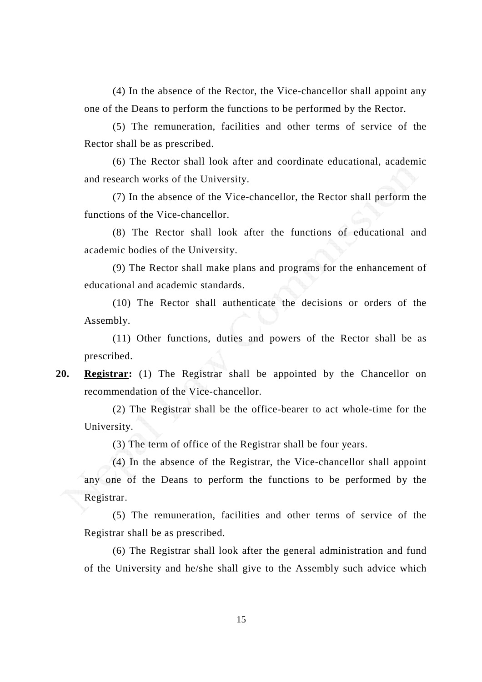(4) In the absence of the Rector, the Vice-chancellor shall appoint any one of the Deans to perform the functions to be performed by the Rector.

(5) The remuneration, facilities and other terms of service of the Rector shall be as prescribed.

(6) The Rector shall look after and coordinate educational, academic and research works of the University.

(7) In the absence of the Vice-chancellor, the Rector shall perform the functions of the Vice-chancellor.

(8) The Rector shall look after the functions of educational and academic bodies of the University.

(9) The Rector shall make plans and programs for the enhancement of educational and academic standards.

(10) The Rector shall authenticate the decisions or orders of the Assembly.

(11) Other functions, duties and powers of the Rector shall be as prescribed.

**20. Registrar:** (1) The Registrar shall be appointed by the Chancellor on recommendation of the Vice-chancellor.

(2) The Registrar shall be the office-bearer to act whole-time for the University.

(3) The term of office of the Registrar shall be four years.

(4) In the absence of the Registrar, the Vice-chancellor shall appoint any one of the Deans to perform the functions to be performed by the Registrar.

(5) The remuneration, facilities and other terms of service of the Registrar shall be as prescribed.

(6) The Registrar shall look after the general administration and fund of the University and he/she shall give to the Assembly such advice which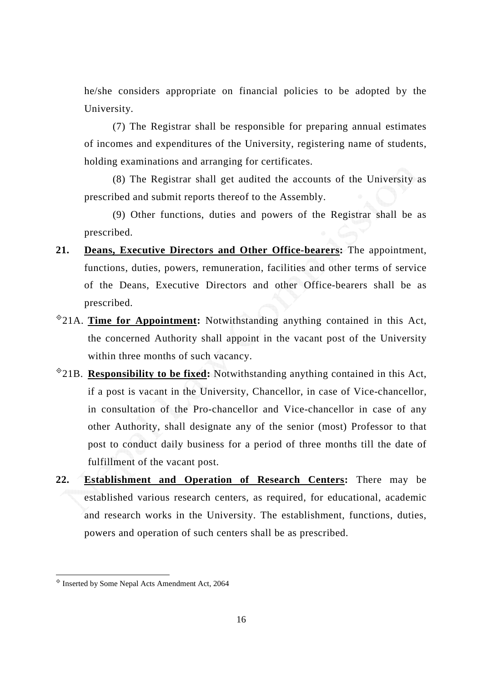he/she considers appropriate on financial policies to be adopted by the University.

(7) The Registrar shall be responsible for preparing annual estimates of incomes and expenditures of the University, registering name of students, holding examinations and arranging for certificates.

(8) The Registrar shall get audited the accounts of the University as prescribed and submit reports thereof to the Assembly.

(9) Other functions, duties and powers of the Registrar shall be as prescribed.

- **21. Deans, Executive Directors and Other Office-bearers:** The appointment, functions, duties, powers, remuneration, facilities and other terms of service of the Deans, Executive Directors and other Office-bearers shall be as prescribed.
- 21A. **Time for Appointment:** Notwithstanding anything contained in this Act, the concerned Authority shall appoint in the vacant post of the University within three months of such vacancy.
- 21B. **Responsibility to be fixed:** Notwithstanding anything contained in this Act, if a post is vacant in the University, Chancellor, in case of Vice-chancellor, in consultation of the Pro-chancellor and Vice-chancellor in case of any other Authority, shall designate any of the senior (most) Professor to that post to conduct daily business for a period of three months till the date of fulfillment of the vacant post.
- **22. Establishment and Operation of Research Centers:** There may be established various research centers, as required, for educational, academic and research works in the University. The establishment, functions, duties, powers and operation of such centers shall be as prescribed.

 $\overline{a}$ 

 $\textdegree$  Inserted by Some Nepal Acts Amendment Act, 2064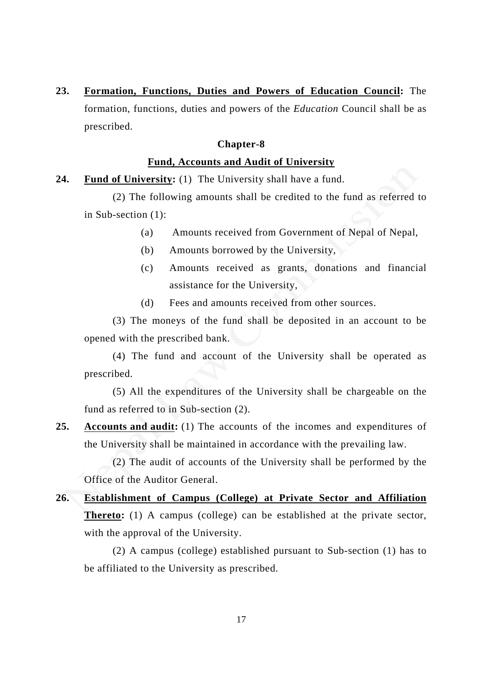**23. Formation, Functions, Duties and Powers of Education Council:** The formation, functions, duties and powers of the *Education* Council shall be as prescribed.

### **Chapter-8**

### **Fund, Accounts and Audit of University**

### **24. Fund of University:** (1) The University shall have a fund.

(2) The following amounts shall be credited to the fund as referred to in Sub-section (1):

- (a) Amounts received from Government of Nepal of Nepal,
- (b) Amounts borrowed by the University,
- (c) Amounts received as grants, donations and financial assistance for the University,
- (d) Fees and amounts received from other sources.

(3) The moneys of the fund shall be deposited in an account to be opened with the prescribed bank.

(4) The fund and account of the University shall be operated as prescribed.

(5) All the expenditures of the University shall be chargeable on the fund as referred to in Sub-section (2).

**25. Accounts and audit:** (1) The accounts of the incomes and expenditures of the University shall be maintained in accordance with the prevailing law.

(2) The audit of accounts of the University shall be performed by the Office of the Auditor General.

**26. Establishment of Campus (College) at Private Sector and Affiliation Thereto:** (1) A campus (college) can be established at the private sector, with the approval of the University.

(2) A campus (college) established pursuant to Sub-section (1) has to be affiliated to the University as prescribed.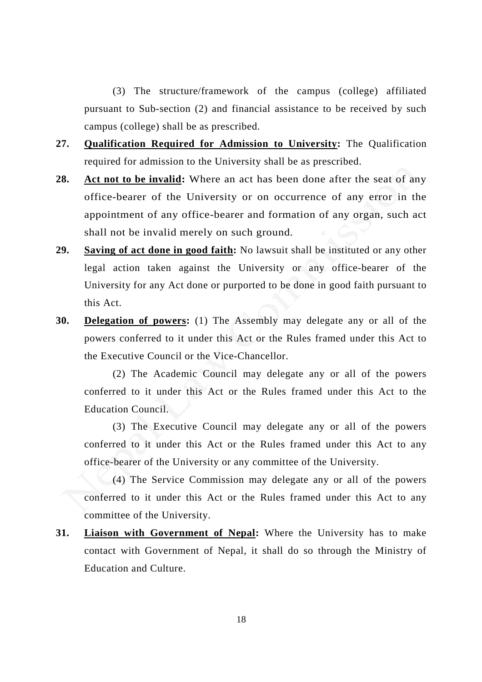(3) The structure/framework of the campus (college) affiliated pursuant to Sub-section (2) and financial assistance to be received by such campus (college) shall be as prescribed.

- **27. Qualification Required for Admission to University:** The Qualification required for admission to the University shall be as prescribed.
- **28. Act not to be invalid:** Where an act has been done after the seat of any office-bearer of the University or on occurrence of any error in the appointment of any office-bearer and formation of any organ, such act shall not be invalid merely on such ground.
- **29. Saving of act done in good faith:** No lawsuit shall be instituted or any other legal action taken against the University or any office-bearer of the University for any Act done or purported to be done in good faith pursuant to this Act.
- **30. Delegation of powers:** (1) The Assembly may delegate any or all of the powers conferred to it under this Act or the Rules framed under this Act to the Executive Council or the Vice-Chancellor.

(2) The Academic Council may delegate any or all of the powers conferred to it under this Act or the Rules framed under this Act to the Education Council.

(3) The Executive Council may delegate any or all of the powers conferred to it under this Act or the Rules framed under this Act to any office-bearer of the University or any committee of the University.

(4) The Service Commission may delegate any or all of the powers conferred to it under this Act or the Rules framed under this Act to any committee of the University.

**31. Liaison with Government of Nepal:** Where the University has to make contact with Government of Nepal, it shall do so through the Ministry of Education and Culture.